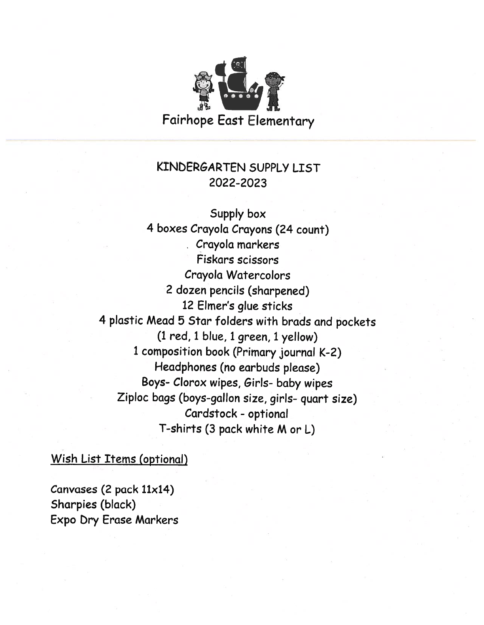

### KINDERGARTEN SUPPLY LIST 2022-2023

Supply box <sup>4</sup> boxes Crayola Crayons (24 count) Crayola markers Fiskars scissors Crayola Watercolors <sup>2</sup> dozen pencils (sharpened) 12 Elmer's glue sticks <sup>4</sup> <sup>p</sup>lastic Mead <sup>5</sup> Star folders with brads and pockets (1 red, <sup>1</sup> blue, <sup>1</sup> green, <sup>1</sup> yellow) <sup>1</sup> composition book (Primary journal K-2) Headphones (no earbuds please) Boys- Clorox wipes, Girls- baby wipes Ziploc bags (boys-gallon size, <sup>g</sup>irls- quart size) Cardstock - optional T-shirts (3 pack white <sup>M</sup> or L)

Wish List Items (optional)

Canvases (2 pack 11x14) Sharpies (black) Expo bry Erase Markers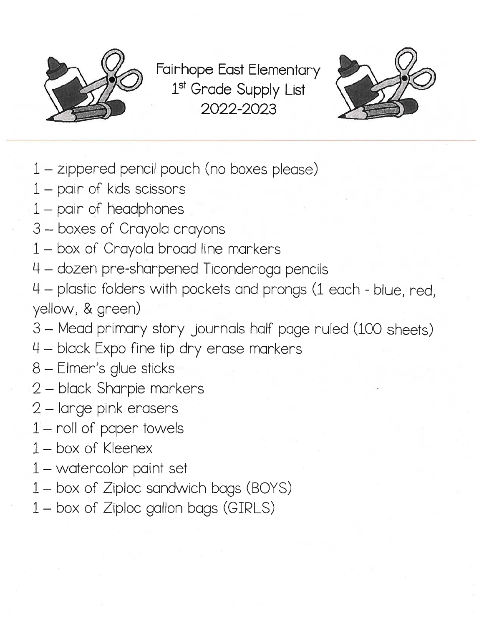

Fairhope East Elementary 1<sup>st</sup> Grade Supply List 2022-2023



- 1— zippered pencil pouch (no boxes please)
- 1 pair of kids scissors
- 1 pair of headphones
- 3 boxes of Crayola crayons
- 1 box of Crayola broad line markers
- 4 dozen pre-sharpened Ticonderoga pencils
- 4 plastic folders with pockets and prongs (1 each blue, red, yellow, & green)
- 3— Mead primary story journals half page ruled (100 sheets)
- black Expo fine tip dry erase markers
- 8 Elmer's glue sticks
- 2 black Sharpie markers
- 2 large pink erasers
- 1— roll of paper towels
- 1 box of Kleenex
- 1 watercolor paint set
- 1— box of Ziploc sandwich bags (BOYS)
- 1— box of Ziploc gallon bags (GIRLS)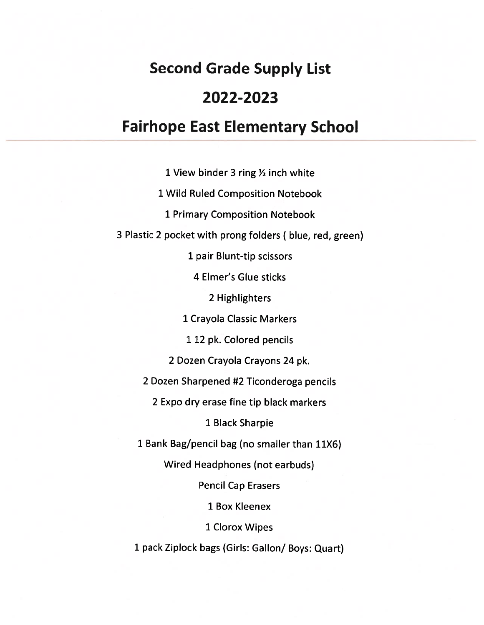# Second Grade Supply List 2022-2023

# Fairhope East Elementary School

1 View binder 3 ring  $\frac{1}{2}$  inch white Wild Ruled Composition Notebook Primary Composition Notebook Plastic <sup>2</sup> pocket with prong folders ( blue, red, green) pair Blunt-tip scissors Elmer's Glue sticks Highlighters Crayola Classic Markers 12 pk. Colored pencils Dozen Crayola Crayons 24 pk. Dozen Sharpened #2 Ticonderoga pencils Expo dry erase fine tip black markers Black Sharpie Bank Bag/pencil bag (no smaller than 11X6) Wired Headphones (not earbuds) Pencil Cap Erasers Box Kleenex Clorox Wipes pac<sup>k</sup> Ziplock bags (Girls: Gallon/ Boys: Quart)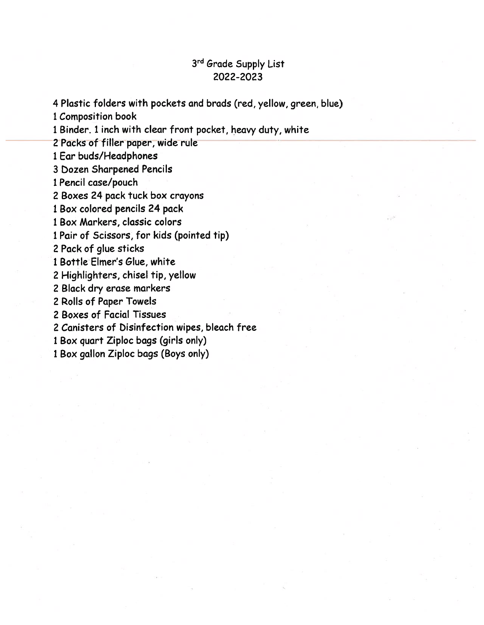#### 3rd Grade Supply List 2022-2023

4 Plastic folders with pockets and brods (red, yellow, green, blue)

1 Composition book

<sup>1</sup> Binder. <sup>1</sup> inch with clear front pocket, heavy duty, white

2 Packs of filler paper, wide rule

1 Ear buds/Headphones

3 bozen Sharpened Pencils

1 Pencil case/pouch

2 Boxes 24 pack tuck box crayons

1 Box colored pencils 24 pack

1 Box Markers, classic colors

1 Pair of Scissors, for kids (pointed tip)

2 Pack of glue sticks

1 Bottle Elmer's Glue, white

2 Highlighters, chisel tip, yellow

2 Black dry erase markers

2 Rolls of Paper Towels

2 Boxes of Facial Tissues

2 Canisters of bisinfection wipes, bleach free

1 Box quar<sup>t</sup> Ziploc bags (girls only)

1 Box gallon Ziploc bags (Boys only)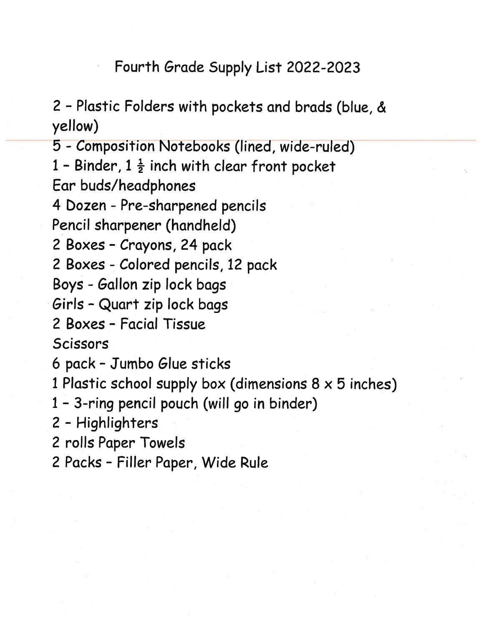Fourth Grade Supply List 2022-2023

2 - Plastic Folders with pockets and brads (blue, & yellow)

5 -Composition Notebooks (lined, wide-ruled)

1 - Binder,  $1\frac{1}{2}$  inch with clear front pocket

Ear buds/headphones

4 Dozen - Pre-sharpened pencils

Pencil sharpener (handheld)

2 Boxes - Crayons, 24 pack

2 Boxes - Colored pencils, 12 pack

Boys -Gallon zip lock bags

Girls -Quart zip lock bags

2 Boxes - Facial Tissue

Scissors

6 pack -Jumbo Glue sticks

1 Plastic school supply box (dimensions  $8 \times 5$  inches)

1 - 3-ring pencil pouch (will go in binder)

2 -Highlighters

2 rolls Paper Towels

2 Packs - Filler Paper, Wide Rule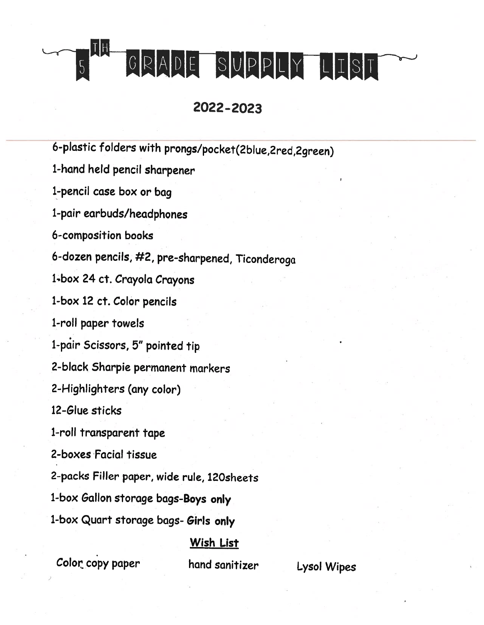TH GRADE SUPPLY LIST

# 2022-2023

6-plastic folders with prongs/pocket(2blue,2red,2green) 1-hand held pencil sharpener i-pencil case box or bag 1-pair earbuds/headphones 6-composition books 6-dozen pencils, #2, pre-sharpened, Ticonderoga 1-box 24 ct. Crayola Crayons 1-box 12 ct. Color pencils 1-roll paper towels 1-pdir Scissors, 5" pointed tip 2-black Sharpie permanent markers 2-Highlighters (any color) 12-Glue sticks 1-roll transparent tape 2-boxes Facial tissue 2-packs Filler paper, wide rule, l2Osheets 1-box Gallon storage bags-Boys only 1-box Quart storage bags- Girls only Wish List

Color copy paper hand sanitizer Lysol Wipes

 $\boxed{5}$